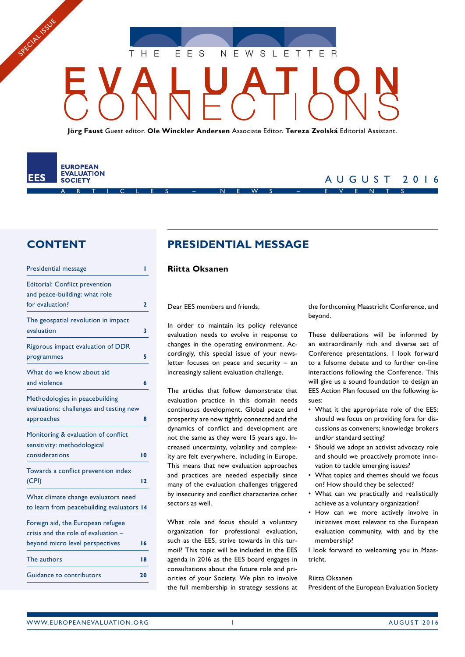THE EES NEWSLETTE

**Jörg Faust** Guest editor. **Ole Winckler Andersen** Associate Editor. **Tereza Zvolská** Editorial Assistant.

#### **EUROPEAN EVALUATION** EES **SOCIETY** ARTICLES – NEWS – EVENTS

SPECIAL SOLS

## AUGUST 2016

## **CONTENT**

Presidential message **1**

| Fresidential message                                                                    |                 |
|-----------------------------------------------------------------------------------------|-----------------|
| <b>Editorial: Conflict prevention</b><br>and peace-building: what role                  |                 |
| for evaluation?                                                                         | 2               |
| The geospatial revolution in impact<br>evaluation                                       | 3               |
| Rigorous impact evaluation of DDR<br>programmes                                         | 5               |
| What do we know about aid<br>and violence                                               | 6               |
| Methodologies in peacebuilding<br>evaluations: challenges and testing new<br>approaches | 8               |
| Monitoring & evaluation of conflict<br>sensitivity: methodological<br>considerations    | $\overline{10}$ |
| Towards a conflict prevention index<br>(CPI)                                            | 12              |
| What climate change evaluators need<br>to learn from peacebuilding evaluators 14        |                 |
| Foreign aid, the European refugee<br>crisis and the role of evaluation -                |                 |
| beyond micro level perspectives                                                         | 16              |
| The authors                                                                             | 18              |
| Guidance to contributors                                                                | 20              |
|                                                                                         |                 |

## **PRESIDENTIAL MESSAGE**

#### **Riitta Oksanen**

Dear EES members and friends,

In order to maintain its policy relevance evaluation needs to evolve in response to changes in the operating environment. Accordingly, this special issue of your newsletter focuses on peace and security – an increasingly salient evaluation challenge.

The articles that follow demonstrate that evaluation practice in this domain needs continuous development. Global peace and prosperity are now tightly connected and the dynamics of conflict and development are not the same as they were 15 years ago. Increased uncertainty, volatility and complexity are felt everywhere, including in Europe. This means that new evaluation approaches and practices are needed especially since many of the evaluation challenges triggered by insecurity and conflict characterize other sectors as well.

What role and focus should a voluntary organization for professional evaluation, such as the EES, strive towards in this turmoil? This topic will be included in the EES agenda in 2016 as the EES board engages in consultations about the future role and priorities of your Society. We plan to involve the full membership in strategy sessions at the forthcoming Maastricht Conference, and beyond.

These deliberations will be informed by an extraordinarily rich and diverse set of Conference presentations. I look forward to a fulsome debate and to further on-line interactions following the Conference. This will give us a sound foundation to design an EES Action Plan focused on the following issues:

- What it the appropriate role of the EES: should we focus on providing fora for discussions as conveners; knowledge brokers and/or standard setting?
- Should we adopt an activist advocacy role and should we proactively promote innovation to tackle emerging issues?
- What topics and themes should we focus on? How should they be selected?
- What can we practically and realistically achieve as a voluntary organization?
- How can we more actively involve in initiatives most relevant to the European evaluation community, with and by the membership?

I look forward to welcoming you in Maastricht.

#### Riitta Oksanen

President of the European Evaluation Society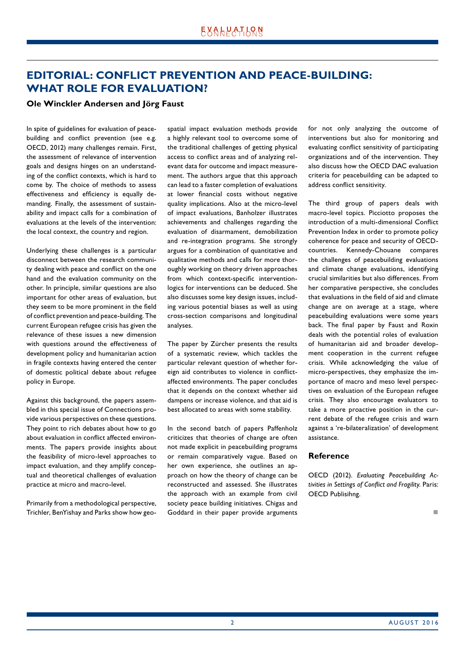## <span id="page-1-0"></span>**EDITORIAL: CONFLICT PREVENTION AND PEACE-BUILDING: WHAT ROLE FOR EVALUATION?**

#### **Ole Winckler Andersen and Jörg Faust**

In spite of guidelines for evaluation of peacebuilding and conflict prevention (see e.g. OECD, 2012) many challenges remain. First, the assessment of relevance of intervention goals and designs hinges on an understanding of the conflict contexts, which is hard to come by. The choice of methods to assess effectiveness and efficiency is equally demanding. Finally, the assessment of sustainability and impact calls for a combination of evaluations at the levels of the intervention: the local context, the country and region.

Underlying these challenges is a particular disconnect between the research community dealing with peace and conflict on the one hand and the evaluation community on the other. In principle, similar questions are also important for other areas of evaluation, but they seem to be more prominent in the field of conflict prevention and peace-building. The current European refugee crisis has given the relevance of these issues a new dimension with questions around the effectiveness of development policy and humanitarian action in fragile contexts having entered the center of domestic political debate about refugee policy in Europe.

Against this background, the papers assembled in this special issue of Connections provide various perspectives on these questions. They point to rich debates about how to go about evaluation in conflict affected environments. The papers provide insights about the feasibility of micro-level approaches to impact evaluation, and they amplify conceptual and theoretical challenges of evaluation practice at micro and macro-level.

Primarily from a methodological perspective, Trichler, BenYishay and Parks show how geospatial impact evaluation methods provide a highly relevant tool to overcome some of the traditional challenges of getting physical access to conflict areas and of analyzing relevant data for outcome and impact measurement. The authors argue that this approach can lead to a faster completion of evaluations at lower financial costs without negative quality implications. Also at the micro-level of impact evaluations, Banholzer illustrates achievements and challenges regarding the evaluation of disarmament, demobilization and re-integration programs. She strongly argues for a combination of quantitative and qualitative methods and calls for more thoroughly working on theory driven approaches from which context-specific interventionlogics for interventions can be deduced. She also discusses some key design issues, including various potential biases as well as using cross-section comparisons and longitudinal analyses.

The paper by Zürcher presents the results of a systematic review, which tackles the particular relevant question of whether foreign aid contributes to violence in conflictaffected environments. The paper concludes that it depends on the context whether aid dampens or increase violence, and that aid is best allocated to areas with some stability.

In the second batch of papers Paffenholz criticizes that theories of change are often not made explicit in peacebuilding programs or remain comparatively vague. Based on her own experience, she outlines an approach on how the theory of change can be reconstructed and assessed. She illustrates the approach with an example from civil society peace building initiatives. Chigas and Goddard in their paper provide arguments

for not only analyzing the outcome of interventions but also for monitoring and evaluating conflict sensitivity of participating organizations and of the intervention. They also discuss how the OECD DAC evaluation criteria for peacebuilding can be adapted to address conflict sensitivity.

The third group of papers deals with macro-level topics. Picciotto proposes the introduction of a multi-dimensional Conflict Prevention Index in order to promote policy coherence for peace and security of OECDcountries. Kennedy-Chouane compares the challenges of peacebuilding evaluations and climate change evaluations, identifying crucial similarities but also differences. From her comparative perspective, she concludes that evaluations in the field of aid and climate change are on average at a stage, where peacebuilding evaluations were some years back. The final paper by Faust and Roxin deals with the potential roles of evaluation of humanitarian aid and broader development cooperation in the current refugee crisis. While acknowledging the value of micro-perspectives, they emphasize the importance of macro and meso level perspectives on evaluation of the European refugee crisis. They also encourage evaluators to take a more proactive position in the current debate of the refugee crisis and warn against a 're-bilateralization' of development assistance.

#### **Reference**

OECD (2012). *Evaluating Peacebuilding Activities in Settings of Conflict and Fragility*. Paris: OECD Publisihng.

n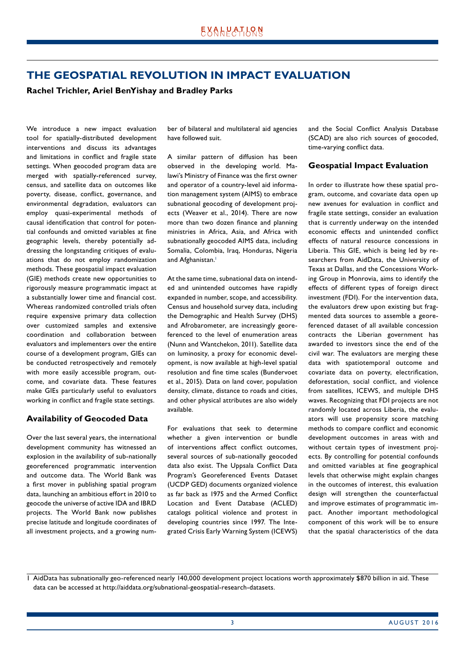## <span id="page-2-0"></span>**THE GEOSPATIAL REVOLUTION IN IMPACT EVALUATION**

**Rachel Trichler, Ariel BenYishay and Bradley Parks**

We introduce a new impact evaluation tool for spatially-distributed development interventions and discuss its advantages and limitations in conflict and fragile state settings. When geocoded program data are merged with spatially-referenced survey, census, and satellite data on outcomes like poverty, disease, conflict, governance, and environmental degradation, evaluators can employ quasi-experimental methods of causal identification that control for potential confounds and omitted variables at fine geographic levels, thereby potentially addressing the longstanding critiques of evaluations that do not employ randomization methods. These geospatial impact evaluation (GIE) methods create new opportunities to rigorously measure programmatic impact at a substantially lower time and financial cost. Whereas randomized controlled trials often require expensive primary data collection over customized samples and extensive coordination and collaboration between evaluators and implementers over the entire course of a development program, GIEs can be conducted retrospectively and remotely with more easily accessible program, outcome, and covariate data. These features make GIEs particularly useful to evaluators working in conflict and fragile state settings.

#### **Availability of Geocoded Data**

Over the last several years, the international development community has witnessed an explosion in the availability of sub-nationally georeferenced programmatic intervention and outcome data. The World Bank was a first mover in publishing spatial program data, launching an ambitious effort in 2010 to geocode the universe of active IDA and IBRD projects. The World Bank now publishes precise latitude and longitude coordinates of all investment projects, and a growing number of bilateral and multilateral aid agencies have followed suit.

A similar pattern of diffusion has been observed in the developing world. Malawi's Ministry of Finance was the first owner and operator of a country-level aid information management system (AIMS) to embrace subnational geocoding of development projects (Weaver et al., 2014). There are now more than two dozen finance and planning ministries in Africa, Asia, and Africa with subnationally geocoded AIMS data, including Somalia, Colombia, Iraq, Honduras, Nigeria and Afghanistan.<sup>1</sup>

At the same time, subnational data on intended and unintended outcomes have rapidly expanded in number, scope, and accessibility. Census and household survey data, including the Demographic and Health Survey (DHS) and Afrobarometer, are increasingly georeferenced to the level of enumeration areas (Nunn and Wantchekon, 2011). Satellite data on luminosity, a proxy for economic development, is now available at high-level spatial resolution and fine time scales (Bundervoet et al., 2015). Data on land cover, population density, climate, distance to roads and cities, and other physical attributes are also widely available.

For evaluations that seek to determine whether a given intervention or bundle of interventions affect conflict outcomes, several sources of sub-nationally geocoded data also exist. The Uppsala Conflict Data Program's Georeferenced Events Dataset (UCDP GED) documents organized violence as far back as 1975 and the Armed Conflict Location and Event Database (ACLED) catalogs political violence and protest in developing countries since 1997. The Integrated Crisis Early Warning System (ICEWS)

and the Social Conflict Analysis Database (SCAD) are also rich sources of geocoded, time-varying conflict data.

#### **Geospatial Impact Evaluation**

In order to illustrate how these spatial program, outcome, and covariate data open up new avenues for evaluation in conflict and fragile state settings, consider an evaluation that is currently underway on the intended economic effects and unintended conflict effects of natural resource concessions in Liberia. This GIE, which is being led by researchers from AidData, the University of Texas at Dallas, and the Concessions Working Group in Monrovia, aims to identify the effects of different types of foreign direct investment (FDI). For the intervention data, the evaluators drew upon existing but fragmented data sources to assemble a georeferenced dataset of all available concession contracts the Liberian government has awarded to investors since the end of the civil war. The evaluators are merging these data with spatiotemporal outcome and covariate data on poverty, electrification, deforestation, social conflict, and violence from satellites, ICEWS, and multiple DHS waves. Recognizing that FDI projects are not randomly located across Liberia, the evaluators will use propensity score matching methods to compare conflict and economic development outcomes in areas with and without certain types of investment projects. By controlling for potential confounds and omitted variables at fine geographical levels that otherwise might explain changes in the outcomes of interest, this evaluation design will strengthen the counterfactual and improve estimates of programmatic impact. Another important methodological component of this work will be to ensure that the spatial characteristics of the data

<sup>1</sup> AidData has subnationally geo-referenced nearly 140,000 development project locations worth approximately \$870 billion in aid. These data can be accessed at http://aiddata.org/subnational-geospatial-research-datasets.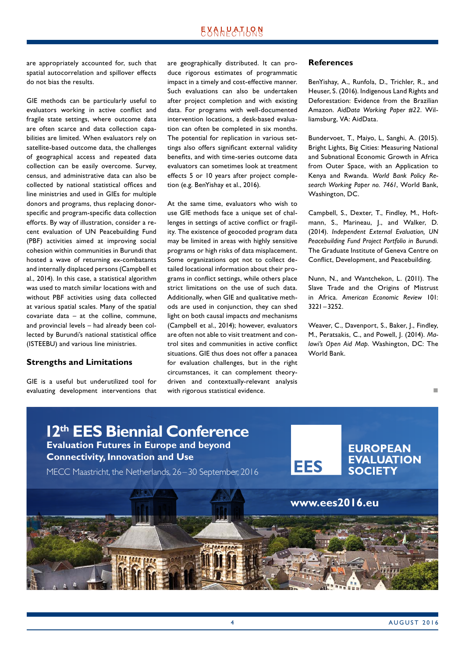## **EXALPATLQN**

are appropriately accounted for, such that spatial autocorrelation and spillover effects do not bias the results.

GIE methods can be particularly useful to evaluators working in active conflict and fragile state settings, where outcome data are often scarce and data collection capabilities are limited. When evaluators rely on satellite-based outcome data, the challenges of geographical access and repeated data collection can be easily overcome. Survey, census, and administrative data can also be collected by national statistical offices and line ministries and used in GIEs for multiple donors and programs, thus replacing donorspecific and program-specific data collection efforts. By way of illustration, consider a recent evaluation of UN Peacebuilding Fund (PBF) activities aimed at improving social cohesion within communities in Burundi that hosted a wave of returning ex-combatants and internally displaced persons (Campbell et al., 2014). In this case, a statistical algorithm was used to match similar locations with and without PBF activities using data collected at various spatial scales. Many of the spatial covariate data – at the colline, commune, and provincial levels – had already been collected by Burundi's national statistical office (ISTEEBU) and various line ministries.

#### **Strengths and Limitations**

GIE is a useful but underutilized tool for evaluating development interventions that are geographically distributed. It can produce rigorous estimates of programmatic impact in a timely and cost-effective manner. Such evaluations can also be undertaken after project completion and with existing data. For programs with well-documented intervention locations, a desk-based evaluation can often be completed in six months. The potential for replication in various settings also offers significant external validity benefits, and with time-series outcome data evaluators can sometimes look at treatment effects 5 or 10 years after project completion (e.g. BenYishay et al., 2016).

At the same time, evaluators who wish to use GIE methods face a unique set of challenges in settings of active conflict or fragility. The existence of geocoded program data may be limited in areas with highly sensitive programs or high risks of data misplacement. Some organizations opt not to collect detailed locational information about their programs in conflict settings, while others place strict limitations on the use of such data. Additionally, when GIE and qualitative methods are used in conjunction, they can shed light on both causal impacts *and* mechanisms (Campbell et al., 2014); however, evaluators are often not able to visit treatment and control sites and communities in active conflict situations. GIE thus does not offer a panacea for evaluation challenges, but in the right circumstances, it can complement theorydriven and contextually-relevant analysis with rigorous statistical evidence.

#### **References**

BenYishay, A., Runfola, D., Trichler, R., and Heuser, S. (2016). Indigenous Land Rights and Deforestation: Evidence from the Brazilian Amazon. *AidData Working Paper #22*. Williamsburg, VA: AidData.

Bundervoet, T., Maiyo, L, Sanghi, A. (2015). Bright Lights, Big Cities: Measuring National and Subnational Economic Growth in Africa from Outer Space, with an Application to Kenya and Rwanda. *World Bank Policy Research Working Paper no. 7461*, World Bank, Washington, DC.

Campbell, S., Dexter, T., Findley, M., Hoftmann, S., Marineau, J., and Walker, D. (2014). *Independent External Evaluation, UN Peacebuilding Fund Project Portfolio in Burundi*. The Graduate Institute of Geneva Centre on Conflict, Development, and Peacebuilding.

Nunn, N., and Wantchekon, L. (2011). The Slave Trade and the Origins of Mistrust in Africa. *American Economic Review* 101: 3221 –3252.

Weaver, C., Davenport, S., Baker, J., Findley, M., Peratsakis, C., and Powell, J. (2014). *Malawi's Open Aid Map*. Washington, DC: The World Bank.

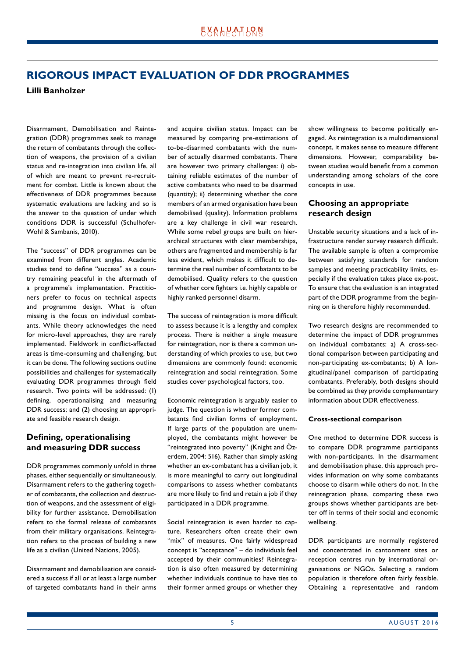## <span id="page-4-0"></span>**RIGOROUS IMPACT EVALUATION OF DDR PROGRAMMES**

**Lilli Banholzer**

Disarmament, Demobilisation and Reintegration (DDR) programmes seek to manage the return of combatants through the collection of weapons, the provision of a civilian status and re-integration into civilian life, all of which are meant to prevent re-recruitment for combat. Little is known about the effectiveness of DDR programmes because systematic evaluations are lacking and so is the answer to the question of under which conditions DDR is successful (Schulhofer-Wohl & Sambanis, 2010).

The "success" of DDR programmes can be examined from different angles. Academic studies tend to define "success" as a country remaining peaceful in the aftermath of a programme's implementation. Practitioners prefer to focus on technical aspects and programme design. What is often missing is the focus on individual combatants. While theory acknowledges the need for micro-level approaches, they are rarely implemented. Fieldwork in conflict-affected areas is time-consuming and challenging, but it can be done. The following sections outline possibilities and challenges for systematically evaluating DDR programmes through field research. Two points will be addressed: (1) defining, operationalising and measuring DDR success; and (2) choosing an appropriate and feasible research design.

#### **Defining, operationalising and measuring DDR success**

DDR programmes commonly unfold in three phases, either sequentially or simultaneously. Disarmament refers to the gathering together of combatants, the collection and destruction of weapons, and the assessment of eligibility for further assistance. Demobilisation refers to the formal release of combatants from their military organisations. Reintegration refers to the process of building a new life as a civilian (United Nations, 2005).

Disarmament and demobilisation are considered a success if all or at least a large number of targeted combatants hand in their arms and acquire civilian status. Impact can be measured by comparing pre-estimations of to-be-disarmed combatants with the number of actually disarmed combatants. There are however two primary challenges: i) obtaining reliable estimates of the number of active combatants who need to be disarmed (quantity); ii) determining whether the core members of an armed organisation have been demobilised (quality). Information problems are a key challenge in civil war research. While some rebel groups are built on hierarchical structures with clear memberships, others are fragmented and membership is far less evident, which makes it difficult to determine the real number of combatants to be demobilised. Quality refers to the question of whether core fighters i.e. highly capable or highly ranked personnel disarm.

The success of reintegration is more difficult to assess because it is a lengthy and complex process. There is neither a single measure for reintegration, nor is there a common understanding of which proxies to use, but two dimensions are commonly found: economic reintegration and social reintegration. Some studies cover psychological factors, too.

Economic reintegration is arguably easier to judge. The question is whether former combatants find civilian forms of employment. If large parts of the population are unemployed, the combatants might however be "reintegrated into poverty" (Knight and Özerdem, 2004: 516). Rather than simply asking whether an ex-combatant has a civilian job, it is more meaningful to carry out longitudinal comparisons to assess whether combatants are more likely to find and retain a job if they participated in a DDR programme.

Social reintegration is even harder to capture. Researchers often create their own "mix" of measures. One fairly widespread concept is "acceptance" – do individuals feel accepted by their communities? Reintegration is also often measured by determining whether individuals continue to have ties to their former armed groups or whether they show willingness to become politically engaged. As reintegration is a multidimensional concept, it makes sense to measure different dimensions. However, comparability between studies would benefit from a common understanding among scholars of the core concepts in use.

#### **Choosing an appropriate research design**

Unstable security situations and a lack of infrastructure render survey research difficult. The available sample is often a compromise between satisfying standards for random samples and meeting practicability limits, especially if the evaluation takes place ex-post. To ensure that the evaluation is an integrated part of the DDR programme from the beginning on is therefore highly recommended.

Two research designs are recommended to determine the impact of DDR programmes on individual combatants: a) A cross-sectional comparison between participating and non-participating ex-combatants; b) A longitudinal/panel comparison of participating combatants. Preferably, both designs should be combined as they provide complementary information about DDR effectiveness.

#### **Cross-sectional comparison**

One method to determine DDR success is to compare DDR programme participants with non-participants. In the disarmament and demobilisation phase, this approach provides information on why some combatants choose to disarm while others do not. In the reintegration phase, comparing these two groups shows whether participants are better off in terms of their social and economic wellbeing.

DDR participants are normally registered and concentrated in cantonment sites or reception centres run by international organisations or NGOs. Selecting a random population is therefore often fairly feasible. Obtaining a representative and random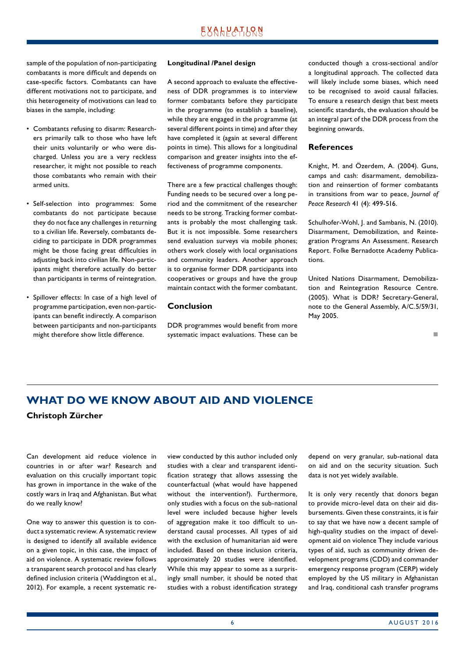<span id="page-5-0"></span>sample of the population of non-participating combatants is more difficult and depends on case-specific factors. Combatants can have different motivations not to participate, and this heterogeneity of motivations can lead to biases in the sample, including:

- Combatants refusing to disarm: Researchers primarily talk to those who have left their units voluntarily or who were discharged. Unless you are a very reckless researcher, it might not possible to reach those combatants who remain with their armed units.
- Self-selection into programmes: Some combatants do not participate because they do not face any challenges in returning to a civilian life. Reversely, combatants deciding to participate in DDR programmes might be those facing great difficulties in adjusting back into civilian life. Non-participants might therefore actually do better than participants in terms of reintegration.
- Spillover effects: In case of a high level of programme participation, even non-participants can benefit indirectly. A comparison between participants and non-participants might therefore show little difference.

#### **Longitudinal /Panel design**

A second approach to evaluate the effectiveness of DDR programmes is to interview former combatants before they participate in the programme (to establish a baseline), while they are engaged in the programme (at several different points in time) and after they have completed it (again at several different points in time). This allows for a longitudinal comparison and greater insights into the effectiveness of programme components.

There are a few practical challenges though: Funding needs to be secured over a long period and the commitment of the researcher needs to be strong. Tracking former combatants is probably the most challenging task. But it is not impossible. Some researchers send evaluation surveys via mobile phones; others work closely with local organisations and community leaders. Another approach is to organise former DDR participants into cooperatives or groups and have the group maintain contact with the former combatant.

#### **Conclusion**

DDR programmes would benefit from more systematic impact evaluations. These can be conducted though a cross-sectional and/or a longitudinal approach. The collected data will likely include some biases, which need to be recognised to avoid causal fallacies. To ensure a research design that best meets scientific standards, the evaluation should be an integral part of the DDR process from the beginning onwards.

#### **References**

Knight, M. and Özerdem, A. (2004). Guns, camps and cash: disarmament, demobilization and reinsertion of former combatants in transitions from war to peace, *Journal of Peace Research* 41 (4): 499-516.

Schulhofer-Wohl, J. and Sambanis, N. (2010). Disarmament, Demobilization, and Reintegration Programs An Assessment. Research Report. Folke Bernadotte Academy Publications.

United Nations Disarmament, Demobilization and Reintegration Resource Centre. (2005). What is DDR? Secretary-General, note to the General Assembly, A/C.5/59/31, May 2005.

#### not a contract the contract of the

## **WHAT DO WE KNOW ABOUT AID AND VIOLENCE Christoph Zürcher**

Can development aid reduce violence in countries in or after war? Research and evaluation on this crucially important topic has grown in importance in the wake of the costly wars in Iraq and Afghanistan. But what do we really know?

One way to answer this question is to conduct a systematic review. A systematic review is designed to identify all available evidence on a given topic, in this case, the impact of aid on violence. A systematic review follows a transparent search protocol and has clearly defined inclusion criteria (Waddington et al., 2012). For example, a recent systematic review conducted by this author included only studies with a clear and transparent identification strategy that allows assessing the counterfactual (what would have happened without the intervention?). Furthermore, only studies with a focus on the sub-national level were included because higher levels of aggregation make it too difficult to understand causal processes. All types of aid with the exclusion of humanitarian aid were included. Based on these inclusion criteria, approximately 20 studies were identified. While this may appear to some as a surprisingly small number, it should be noted that studies with a robust identification strategy

depend on very granular, sub-national data on aid and on the security situation. Such data is not yet widely available.

It is only very recently that donors began to provide micro-level data on their aid disbursements. Given these constraints, it is fair to say that we have now a decent sample of high-quality studies on the impact of development aid on violence They include various types of aid, such as community driven development programs (CDD) and commander emergency response program (CERP) widely employed by the US military in Afghanistan and Iraq, conditional cash transfer programs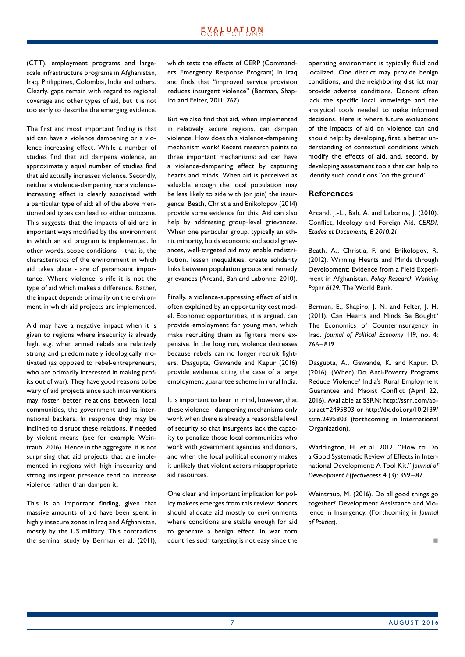(CTT), employment programs and largescale infrastructure programs in Afghanistan, Iraq, Philippines, Colombia, India and others. Clearly, gaps remain with regard to regional coverage and other types of aid, but it is not too early to describe the emerging evidence.

The first and most important finding is that aid can have a violence dampening or a violence increasing effect. While a number of studies find that aid dampens violence, an approximately equal number of studies find that aid actually increases violence. Secondly, neither a violence-dampening nor a violenceincreasing effect is clearly associated with a particular type of aid: all of the above mentioned aid types can lead to either outcome. This suggests that the impacts of aid are in important ways modified by the environment in which an aid program is implemented. In other words, scope conditions – that is, the characteristics of the environment in which aid takes place - are of paramount importance. Where violence is rife it is not the type of aid which makes a difference. Rather, the impact depends primarily on the environment in which aid projects are implemented.

Aid may have a negative impact when it is given to regions where insecurity is already high, e.g. when armed rebels are relatively strong and predominately ideologically motivated (as opposed to rebel-entrepreneurs, who are primarily interested in making profits out of war). They have good reasons to be wary of aid projects since such interventions may foster better relations between local communities, the government and its international backers. In response they may be inclined to disrupt these relations, if needed by violent means (see for example Weintraub, 2016). Hence in the aggregate, it is not surprising that aid projects that are implemented in regions with high insecurity and strong insurgent presence tend to increase violence rather than dampen it.

This is an important finding, given that massive amounts of aid have been spent in highly insecure zones in Iraq and Afghanistan, mostly by the US military. This contradicts the seminal study by Berman et al. (2011),

which tests the effects of CERP (Commanders Emergency Response Program) in Iraq and finds that "improved service provision reduces insurgent violence" (Berman, Shapiro and Felter, 2011: 767).

But we also find that aid, when implemented in relatively secure regions, can dampen violence. How does this violence-dampening mechanism work? Recent research points to three important mechanisms: aid can have a violence-dampening effect by capturing hearts and minds. When aid is perceived as valuable enough the local population may be less likely to side with (or join) the insurgence. Beath, Christia and Enikolopov (2014) provide some evidence for this. Aid can also help by addressing group-level grievances. When one particular group, typically an ethnic minority, holds economic and social grievances, well-targeted aid may enable redistribution, lessen inequalities, create solidarity links between population groups and remedy grievances (Arcand, Bah and Labonne, 2010).

Finally, a violence-suppressing effect of aid is often explained by an opportunity cost model. Economic opportunities, it is argued, can provide employment for young men, which make recruiting them as fighters more expensive. In the long run, violence decreases because rebels can no longer recruit fighters. Dasgupta, Gawande and Kapur (2016) provide evidence citing the case of a large employment guarantee scheme in rural India.

It is important to bear in mind, however, that these violence –dampening mechanisms only work when there is already a reasonable level of security so that insurgents lack the capacity to penalize those local communities who work with government agencies and donors, and when the local political economy makes it unlikely that violent actors misappropriate aid resources.

One clear and important implication for policy makers emerges from this review: donors should allocate aid mostly to environments where conditions are stable enough for aid to generate a benign effect. In war torn countries such targeting is not easy since the

operating environment is typically fluid and localized. One district may provide benign conditions, and the neighboring district may provide adverse conditions. Donors often lack the specific local knowledge and the analytical tools needed to make informed decisions. Here is where future evaluations of the impacts of aid on violence can and should help: by developing, first, a better understanding of contextual conditions which modify the effects of aid, and, second, by developing assessment tools that can help to identify such conditions "on the ground"

#### **References**

Arcand, J.-L., Bah, A. and Labonne, J. (2010). Conflict, Ideology and Foreign Aid. *CERDI, Etudes et Documents, E 2010.21*.

Beath, A., Christia, F. and Enikolopov, R. (2012). Winning Hearts and Minds through Development: Evidence from a Field Experiment in Afghanistan. *Policy Research Working Paper 6129*. The World Bank.

Berman, E., Shapiro, J. N. and Felter, J. H. (2011). Can Hearts and Minds Be Bought? The Economics of Counterinsurgency in Iraq. *Journal of Political Economy* 119, no. 4: 766–819.

Dasgupta, A., Gawande, K. and Kapur, D. (2016). (When) Do Anti-Poverty Programs Reduce Violence? India's Rural Employment Guarantee and Maoist Conflict (April 22, 2016). Available at SSRN: http://ssrn.com/abstract=2495803 or http://dx.doi.org/10.2139/ ssrn.2495803 (forthcoming in International Organization).

Waddington, H. et al. 2012. "How to Do a Good Systematic Review of Effects in International Development: A Tool Kit." *Journal of Development Effectiveness* 4 (3): 359– 87.

Weintraub, M. (2016). Do all good things go together? Development Assistance and Violence in Insurgency. (Forthcoming in *Journal of Politics*).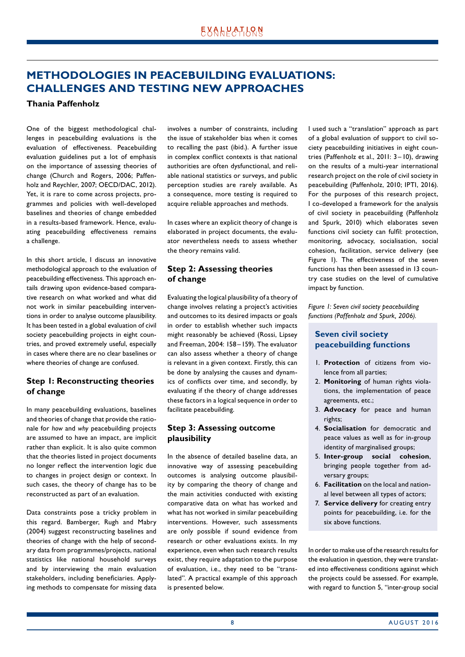## <span id="page-7-0"></span>**METHODOLOGIES IN PEACEBUILDING EVALUATIONS: CHALLENGES AND TESTING NEW APPROACHES**

#### **Thania Paffenholz**

One of the biggest methodological challenges in peacebuilding evaluations is the evaluation of effectiveness. Peacebuilding evaluation guidelines put a lot of emphasis on the importance of assessing theories of change (Church and Rogers, 2006; Paffenholz and Reychler, 2007; OECD/DAC, 2012). Yet, it is rare to come across projects, programmes and policies with well-developed baselines and theories of change embedded in a results-based framework. Hence, evaluating peacebuilding effectiveness remains a challenge.

In this short article, I discuss an innovative methodological approach to the evaluation of peacebuilding effectiveness. This approach entails drawing upon evidence-based comparative research on what worked and what did not work in similar peacebuilding interventions in order to analyse outcome plausibility. It has been tested in a global evaluation of civil society peacebuilding projects in eight countries, and proved extremely useful, especially in cases where there are no clear baselines or where theories of change are confused.

#### **Step 1: Reconstructing theories of change**

In many peacebuilding evaluations, baselines and theories of change that provide the rationale for *how* and *why* peacebuilding projects are assumed to have an impact, are implicit rather than explicit. It is also quite common that the theories listed in project documents no longer reflect the intervention logic due to changes in project design or context. In such cases, the theory of change has to be reconstructed as part of an evaluation.

Data constraints pose a tricky problem in this regard. Bamberger, Rugh and Mabry (2004) suggest reconstructing baselines and theories of change with the help of secondary data from programmes/projects, national statistics like national household surveys and by interviewing the main evaluation stakeholders, including beneficiaries. Applying methods to compensate for missing data involves a number of constraints, including the issue of stakeholder bias when it comes to recalling the past (ibid.). A further issue in complex conflict contexts is that national authorities are often dysfunctional, and reliable national statistics or surveys, and public perception studies are rarely available. As a consequence, more testing is required to acquire reliable approaches and methods.

In cases where an explicit theory of change is elaborated in project documents, the evaluator nevertheless needs to assess whether the theory remains valid.

#### **Step 2: Assessing theories of change**

Evaluating the logical plausibility of a theory of change involves relating a project's activities and outcomes to its desired impacts or goals in order to establish whether such impacts might reasonably be achieved (Rossi, Lipsey and Freeman, 2004: 158-159). The evaluator can also assess whether a theory of change is relevant in a given context. Firstly, this can be done by analysing the causes and dynamics of conflicts over time, and secondly, by evaluating if the theory of change addresses these factors in a logical sequence in order to facilitate peacebuilding.

#### **Step 3: Assessing outcome plausibility**

In the absence of detailed baseline data, an innovative way of assessing peacebuilding outcomes is analysing outcome plausibility by comparing the theory of change and the main activities conducted with existing comparative data on what has worked and what has not worked in similar peacebuilding interventions. However, such assessments are only possible if sound evidence from research or other evaluations exists. In my experience, even when such research results exist, they require adaptation to the purpose of evaluation, i.e., they need to be "translated". A practical example of this approach is presented below.

I used such a "translation" approach as part of a global evaluation of support to civil society peacebuilding initiatives in eight countries (Paffenholz et al., 2011: 3– 10), drawing on the results of a multi-year international research project on the role of civil society in peacebuilding (Paffenholz, 2010; IPTI, 2016). For the purposes of this research project, I co-developed a framework for the analysis of civil society in peacebuilding (Paffenholz and Spurk, 2010) which elaborates seven functions civil society can fulfil: protection, monitoring, advocacy, socialisation, social cohesion, facilitation, service delivery (see Figure 1). The effectiveness of the seven functions has then been assessed in 13 country case studies on the level of cumulative impact by function.

*Figure 1: Seven civil society peacebuilding functions (Paffenholz and Spurk, 2006).*

#### **Seven civil society peacebuilding functions**

- 1. **Protection** of citizens from violence from all parties;
- 2. **Monitoring** of human rights violations, the implementation of peace agreements, etc.;
- 3. **Advocacy** for peace and human rights;
- 4. **Socialisation** for democratic and peace values as well as for in-group identity of marginalised groups;
- 5. **Inter-group social cohesion**, bringing people together from adversary groups;
- 6. **Facilitation** on the local and national level between all types of actors;
- 7. **Service delivery** for creating entry points for peacebuilding, i.e. for the six above functions.

In order to make use of the research results for the evaluation in question, they were translated into effectiveness conditions against which the projects could be assessed. For example, with regard to function 5, "inter-group social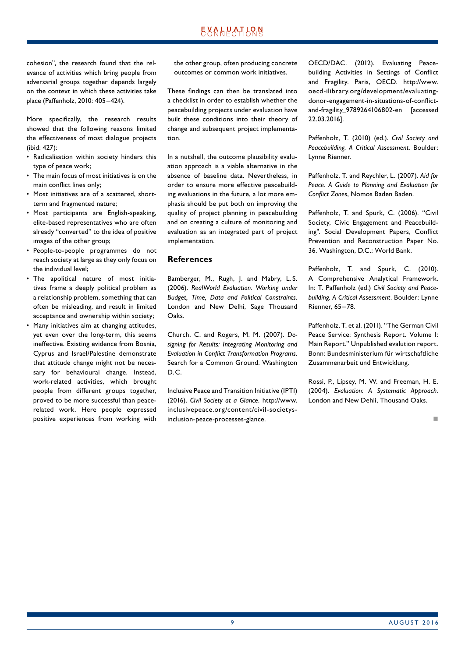cohesion", the research found that the relevance of activities which bring people from adversarial groups together depends largely on the context in which these activities take place (Paffenholz, 2010: 405–424).

More specifically, the research results showed that the following reasons limited the effectiveness of most dialogue projects (ibid: 427):

- Radicalisation within society hinders this type of peace work;
- The main focus of most initiatives is on the main conflict lines only;
- Most initiatives are of a scattered, shortterm and fragmented nature;
- Most participants are English-speaking, elite-based representatives who are often already "converted" to the idea of positive images of the other group;
- People-to-people programmes do not reach society at large as they only focus on the individual level;
- The apolitical nature of most initiatives frame a deeply political problem as a relationship problem, something that can often be misleading, and result in limited acceptance and ownership within society;
- Many initiatives aim at changing attitudes, yet even over the long-term, this seems ineffective. Existing evidence from Bosnia, Cyprus and Israel/Palestine demonstrate that attitude change might not be necessary for behavioural change. Instead, work-related activities, which brought people from different groups together, proved to be more successful than peacerelated work. Here people expressed positive experiences from working with

the other group, often producing concrete outcomes or common work initiatives.

These findings can then be translated into a checklist in order to establish whether the peacebuilding projects under evaluation have built these conditions into their theory of change and subsequent project implementation.

In a nutshell, the outcome plausibility evaluation approach is a viable alternative in the absence of baseline data. Nevertheless, in order to ensure more effective peacebuilding evaluations in the future, a lot more emphasis should be put both on improving the quality of project planning in peacebuilding and on creating a culture of monitoring and evaluation as an integrated part of project implementation.

#### **References**

Bamberger, M., Rugh, J. and Mabry, L.S. (2006). *RealWorld Evaluation. Working under Budget, Time, Data and Political Constraints*. London and New Delhi, Sage Thousand Oaks.

Church, C. and Rogers, M. M. (2007). *Designing for Results: Integrating Monitoring and Evaluation in Conflict Transformation Programs*. Search for a Common Ground. Washington D.C.

Inclusive Peace and Transition Initiative (IPTI) (2016). *Civil Society at a Glance*. http://www. inclusivepeace.org/content/civil-societysinclusion-peace-processes-glance.

OECD/DAC. (2012). Evaluating Peacebuilding Activities in Settings of Conflict and Fragility. Paris, OECD. http://www. oecd-ilibrary.org/development/evaluatingdonor-engagement-in-situations-of-conflictand-fragility\_9789264106802-en [accessed 22.03.2016].

Paffenholz, T. (2010) (ed.). *Civil Society and Peacebuilding. A Critical Assessment.* Boulder: Lynne Rienner.

Paffenholz, T. and Reychler, L. (2007). *Aid for Peace. A Guide to Planning and Evaluation for Conflict Zones*, Nomos Baden Baden.

Paffenholz, T. and Spurk, C. (2006). "Civil Society, Civic Engagement and Peacebuilding". Social Development Papers, Conflict Prevention and Reconstruction Paper No. 36. Washington, D.C.: World Bank.

Paffenholz, T. and Spurk, C. (2010). A Comprehensive Analytical Framework. In: T. Paffenholz (ed.) *Civil Society and Peacebuilding. A Critical Assessment*. Boulder: Lynne Rienner, 65 –78.

Paffenholz, T. et al. (2011). "The German Civil Peace Service: Synthesis Report. Volume I: Main Report." Unpublished evalution report. Bonn: Bundesministerium für wirtschaftliche Zusammenarbeit und Entwicklung.

Rossi, P., Lipsey, M. W. and Freeman, H. E. (2004). *Evaluation: A Systematic Approach*. London and New Dehli, Thousand Oaks.

not a contract the contract of the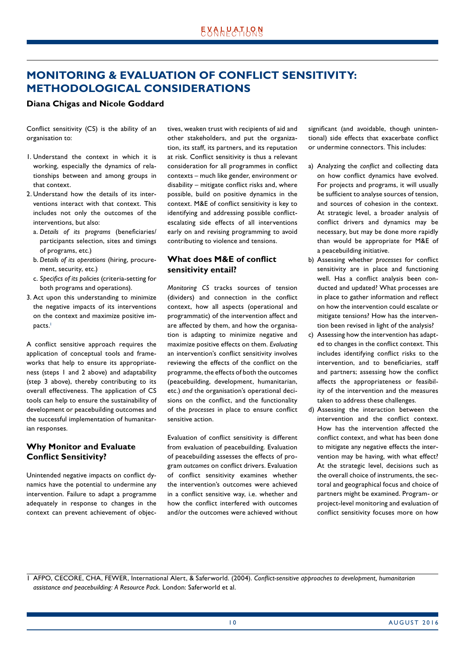## <span id="page-9-0"></span>**MONITORING & EVALUATION OF CONFLICT SENSITIVITY: METHODOLOGICAL CONSIDERATIONS**

#### **Diana Chigas and Nicole Goddard**

Conflict sensitivity (CS) is the ability of an organisation to:

- 1. Understand the context in which it is working, especially the dynamics of relationships between and among groups in that context.
- 2. Understand how the details of its interventions interact with that context. This includes not only the outcomes of the interventions, but also:
	- a. *Details of its programs* (beneficiaries/ participants selection, sites and timings of programs, etc.)
	- b. *Details of its operations* (hiring, procurement, security, etc.)
	- c. *Specifics of its policies* (criteria-setting for both programs and operations).
- 3. Act upon this understanding to minimize the negative impacts of its interventions on the context and maximize positive impacts.<sup>1</sup>

A conflict sensitive approach requires the application of conceptual tools and frameworks that help to ensure its appropriateness (steps 1 and 2 above) and adaptability (step 3 above), thereby contributing to its overall effectiveness. The application of CS tools can help to ensure the sustainability of development or peacebuilding outcomes and the successful implementation of humanitarian responses.

#### **Why Monitor and Evaluate Conflict Sensitivity?**

Unintended negative impacts on conflict dynamics have the potential to undermine any intervention. Failure to adapt a programme adequately in response to changes in the context can prevent achievement of objectives, weaken trust with recipients of aid and other stakeholders, and put the organization, its staff, its partners, and its reputation at risk. Conflict sensitivity is thus a relevant consideration for all programmes in conflict contexts – much like gender, environment or disability – mitigate conflict risks and, where possible, build on positive dynamics in the context. M&E of conflict sensitivity is key to identifying and addressing possible conflictescalating side effects of all interventions early on and revising programming to avoid contributing to violence and tensions.

#### **What does M&E of conflict sensitivity entail?**

*Monitoring CS* tracks sources of tension (dividers) and connection in the conflict context, how all aspects (operational and programmatic) of the intervention affect and are affected by them, and how the organisation is adapting to minimize negative and maximize positive effects on them. *Evaluating* an intervention's conflict sensitivity involves reviewing the effects of the conflict on the programme, the effects of both the outcomes (peacebuilding, development, humanitarian, etc.) *and* the organisation's operational decisions on the conflict, and the functionality of the *processes* in place to ensure conflict sensitive action.

Evaluation of conflict sensitivity is different from evaluation of peacebuilding. Evaluation of peacebuilding assesses the effects of program *outcomes* on conflict drivers. Evaluation of conflict sensitivity examines whether the intervention's outcomes were achieved in a conflict sensitive way, i.e. whether and how the conflict interfered with outcomes and/or the outcomes were achieved without significant (and avoidable, though unintentional) side effects that exacerbate conflict or undermine connectors. This includes:

- a) Analyzing the *conflict* and collecting data on how conflict dynamics have evolved. For projects and programs, it will usually be sufficient to analyse sources of tension, and sources of cohesion in the context. At strategic level, a broader analysis of conflict drivers and dynamics may be necessary, but may be done more rapidly than would be appropriate for M&E of a peacebuilding initiative.
- b) Assessing whether *processes* for conflict sensitivity are in place and functioning well. Has a conflict analysis been conducted and updated? What processes are in place to gather information and reflect on how the intervention could escalate or mitigate tensions? How has the intervention been revised in light of the analysis?
- c) Assessing how the intervention has adapted to changes in the conflict context. This includes identifying conflict risks to the intervention, and to beneficiaries, staff and partners; assessing how the conflict affects the appropriateness or feasibility of the intervention and the measures taken to address these challenges.
- d) Assessing the interaction between the intervention and the conflict context. How has the intervention affected the conflict context, and what has been done to mitigate any negative effects the intervention may be having, with what effect? At the strategic level, decisions such as the overall choice of instruments, the sectoral and geographical focus and choice of partners might be examined. Program- or project-level monitoring and evaluation of conflict sensitivity focuses more on how

1 AFPO, CECORE, CHA, FEWER, International Alert, & Saferworld. (2004). *Conflict-sensitive approaches to development, humanitarian assistance and peacebuilding: A Resource Pack.* London: Saferworld et al.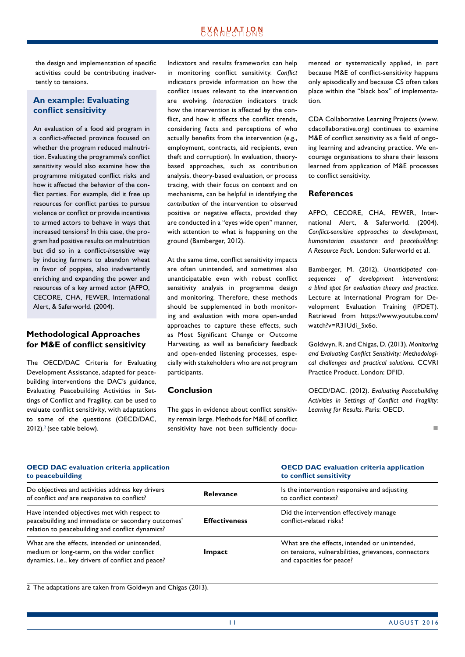the design and implementation of specific activities could be contributing inadvertently to tensions.

#### **An example: Evaluating conflict sensitivity**

An evaluation of a food aid program in a conflict-affected province focused on whether the program reduced malnutrition. Evaluating the programme's conflict sensitivity would also examine how the programme mitigated conflict risks and how it affected the behavior of the conflict parties. For example, did it free up resources for conflict parties to pursue violence or conflict or provide incentives to armed actors to behave in ways that increased tensions? In this case, the program had positive results on malnutrition but did so in a conflict-*insensitive* way by inducing farmers to abandon wheat in favor of poppies, also inadvertently enriching and expanding the power and resources of a key armed actor (AFPO, CECORE, CHA, FEWER, International Alert, & Saferworld. (2004).

#### **Methodological Approaches for M&E of conflict sensitivity**

The OECD/DAC Criteria for Evaluating Development Assistance, adapted for peacebuilding interventions the DAC's guidance, Evaluating Peacebuilding Activities in Settings of Conflict and Fragility, can be used to evaluate conflict sensitivity, with adaptations to some of the questions (OECD/DAC,  $2012$ ).<sup>2</sup> (see table below).

Indicators and results frameworks can help in monitoring conflict sensitivity. *Conflict* indicators provide information on how the conflict issues relevant to the intervention are evolving. *Interaction* indicators track how the intervention is affected by the conflict, and how it affects the conflict trends, considering facts and perceptions of who actually benefits from the intervention (e.g., employment, contracts, aid recipients, even theft and corruption). In evaluation, theorybased approaches, such as contribution analysis, theory-based evaluation, or process tracing, with their focus on context and on mechanisms, can be helpful in identifying the *contribution* of the intervention to observed positive or negative effects, provided they are conducted in a "eyes wide open" manner, with attention to what is happening on the ground (Bamberger, 2012).

At the same time, conflict sensitivity impacts are often unintended, and sometimes also unanticipatable even with robust conflict sensitivity analysis in programme design and monitoring. Therefore, these methods should be supplemented in both monitoring and evaluation with more open-ended approaches to capture these effects, such as Most Significant Change or Outcome Harvesting, as well as beneficiary feedback and open-ended listening processes, especially with stakeholders who are *not* program participants.

#### **Conclusion**

The gaps in evidence about conflict sensitivity remain large. Methods for M&E of conflict sensitivity have not been sufficiently documented or systematically applied, in part because M&E of conflict-sensitivity happens only episodically and because CS often takes place within the "black box" of implementation.

CDA Collaborative Learning Projects (www. cdacollaborative.org) continues to examine M&E of conflict sensitivity as a field of ongoing learning and advancing practice. We encourage organisations to share their lessons learned from application of M&E processes to conflict sensitivity.

#### **References**

AFPO, CECORE, CHA, FEWER, International Alert, & Saferworld. (2004). *Conflict-sensitive approaches to development, humanitarian assistance and peacebuilding: A Resource Pack.* London: Saferworld et al.

Bamberger, M. (2012). *Unanticipated consequences of development interventions: a blind spot for evaluation theory and practice.* Lecture at International Program for Development Evaluation Training (IPDET). Retrieved from https://www.youtube.com/ watch?v=R31Udi\_5x6o.

Goldwyn, R. and Chigas, D. (2013). *Monitoring and Evaluating Conflict Sensitivity: Methodological challenges and practical solutions.* CCVRI Practice Product. London: DFID.

OECD/DAC. (2012). *Evaluating Peacebuilding Activities in Settings of Conflict and Fragility: Learning for Results.* Paris: OECD.

n

| <b>OECD DAC</b> evaluation criteria application<br>to peacebuilding                                                                                    |                      | <b>OECD DAC</b> evaluation criteria application<br>to conflict sensitivity                                                         |
|--------------------------------------------------------------------------------------------------------------------------------------------------------|----------------------|------------------------------------------------------------------------------------------------------------------------------------|
| Do objectives and activities address key drivers<br>of conflict and are responsive to conflict?                                                        | <b>Relevance</b>     | Is the intervention responsive and adjusting<br>to conflict context?                                                               |
| Have intended objectives met with respect to<br>peacebuilding and immediate or secondary outcomes'<br>relation to peacebuilding and conflict dynamics? | <b>Effectiveness</b> | Did the intervention effectively manage<br>conflict-related risks?                                                                 |
| What are the effects, intended or unintended,<br>medium or long-term, on the wider conflict<br>dynamics, i.e., key drivers of conflict and peace?      | Impact               | What are the effects, intended or unintended,<br>on tensions, vulnerabilities, grievances, connectors<br>and capacities for peace? |

2 The adaptations are taken from Goldwyn and Chigas (2013).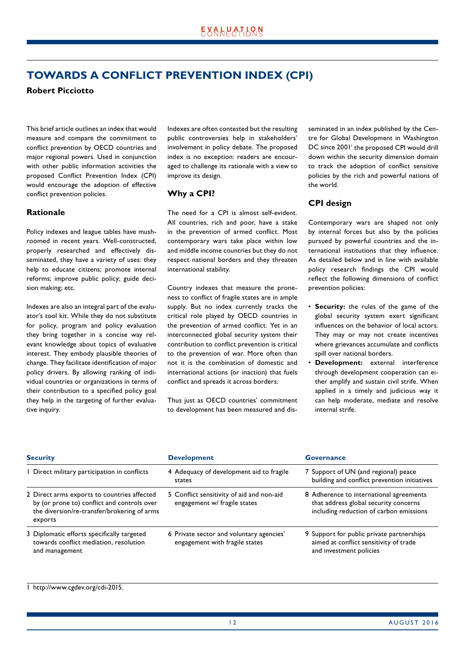## <span id="page-11-0"></span>**TOWARDS A CONFLICT PREVENTION INDEX (CPI)**

**Robert Picciotto**

This brief article outlines an index that would measure and compare the commitment to conflict prevention by OECD countries and major regional powers. Used in conjunction with other public information activities the proposed Conflict Prevention Index (CPI) would encourage the adoption of effective conflict prevention policies.

#### **Rationale**

Policy indexes and league tables have mushroomed in recent years. Well-constructed, properly researched and effectively disseminated, they have a variety of uses: they help to educate citizens; promote internal reforms; improve public policy; guide decision making; etc.

Indexes are also an integral part of the evaluator's tool kit. While they do not substitute for policy, program and policy evaluation they bring together in a concise way relevant knowledge about topics of evaluative interest. They embody plausible theories of change. They facilitate identification of major policy drivers. By allowing ranking of individual countries or organizations in terms of their contribution to a specified policy goal they help in the targeting of further evaluative inquiry.

Indexes are often contested but the resulting public controversies help in stakeholders' involvement in policy debate. The proposed index is no exception: readers are encouraged to challenge its rationale with a view to improve its design.

#### **Why a CPI?**

The need for a CPI is almost self-evident. All countries, rich and poor, have a stake in the prevention of armed conflict. Most contemporary wars take place within low and middle income countries but they do not respect national borders and they threaten international stability.

Country indexes that measure the proneness to conflict of fragile states are in ample supply. But no index currently tracks the critical role played by OECD countries in the prevention of armed conflict. Yet in an interconnected global security system their contribution to conflict prevention is critical to the prevention of war. More often than not it is the combination of domestic and international actions (or inaction) that fuels conflict and spreads it across borders.

Thus just as OECD countries' commitment to development has been measured and disseminated in an index published by the Centre for Global Development in Washington DC since 2001<sup>1</sup> the proposed CPI would drill down within the security dimension domain to track the adoption of conflict sensitive policies by the rich and powerful nations of the world.

#### **CPI design**

Contemporary wars are shaped not only by internal forces but also by the policies pursued by powerful countries and the international institutions that they influence. As detailed below and in line with available policy research findings the CPI would reflect the following dimensions of conflict prevention policies:

- **Security:** the rules of the game of the global security system exert significant influences on the behavior of local actors. They may or may not create incentives where grievances accumulate and conflicts spill over national borders.
- **Development:** external interference through development cooperation can either amplify and sustain civil strife. When applied in a timely and judicious way it can help moderate, mediate and resolve internal strife.

| <b>Security</b>                                                                                                                                      | <b>Development</b>                                                         | Governance                                                                                                                  |
|------------------------------------------------------------------------------------------------------------------------------------------------------|----------------------------------------------------------------------------|-----------------------------------------------------------------------------------------------------------------------------|
| I Direct military participation in conflicts                                                                                                         | 4 Adequacy of development aid to fragile<br>states                         | 7 Support of UN (and regional) peace<br>building and conflict prevention initiatives                                        |
| 2 Direct arms exports to countries affected<br>by (or prone to) conflict and controls over<br>the diversion/re-transfer/brokering of arms<br>exports | 5 Conflict sensitivity of aid and non-aid<br>engagement w/ fragile states  | 8 Adherence to international agreements<br>that address global security concerns<br>including reduction of carbon emissions |
| 3 Diplomatic efforts specifically targeted<br>towards conflict mediation, resolution<br>and management                                               | 6 Private sector and voluntary agencies'<br>engagement with fragile states | 9 Support for public private partnerships<br>aimed at conflict sensitivity of trade<br>and investment policies              |

#### 1 http://www.cgdev.org/cdi-2015.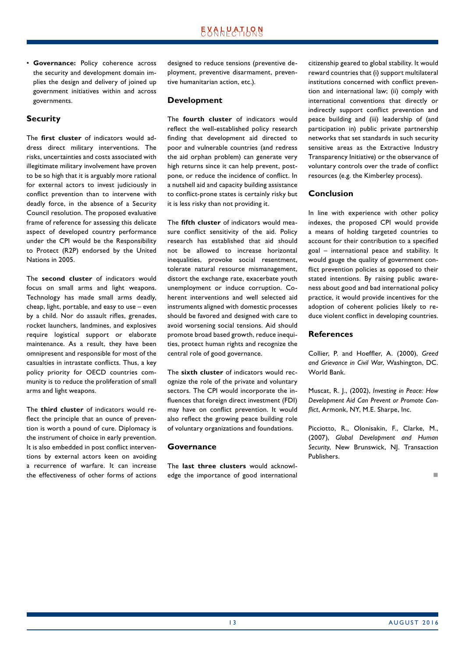• **Governance:** Policy coherence across the security and development domain implies the design and delivery of joined up government initiatives within and across governments.

#### **Security**

The **first cluster** of indicators would address direct military interventions. The risks, uncertainties and costs associated with illegitimate military involvement have proven to be so high that it is arguably more rational for external actors to invest judiciously in conflict prevention than to intervene with deadly force, in the absence of a Security Council resolution. The proposed evaluative frame of reference for assessing this delicate aspect of developed country performance under the CPI would be the Responsibility to Protect (R2P) endorsed by the United Nations in 2005.

The **second cluster** of indicators would focus on small arms and light weapons. Technology has made small arms deadly, cheap, light, portable, and easy to use – even by a child. Nor do assault rifles, grenades, rocket launchers, landmines, and explosives require logistical support or elaborate maintenance. As a result, they have been omnipresent and responsible for most of the casualties in intrastate conflicts. Thus, a key policy priority for OECD countries community is to reduce the proliferation of small arms and light weapons.

The **third cluster** of indicators would reflect the principle that an ounce of prevention is worth a pound of cure. Diplomacy is the instrument of choice in early prevention. It is also embedded in post conflict interventions by external actors keen on avoiding a recurrence of warfare. It can increase the effectiveness of other forms of actions designed to reduce tensions (preventive deployment, preventive disarmament, preventive humanitarian action, etc.).

#### **Development**

The **fourth cluster** of indicators would reflect the well-established policy research finding that development aid directed to poor and vulnerable countries (and redress the aid orphan problem) can generate very high returns since it can help prevent, postpone, or reduce the incidence of conflict. In a nutshell aid and capacity building assistance to conflict-prone states is certainly risky but it is less risky than not providing it.

The **fifth cluster** of indicators would measure conflict sensitivity of the aid. Policy research has established that aid should not be allowed to increase horizontal inequalities, provoke social resentment, tolerate natural resource mismanagement, distort the exchange rate, exacerbate youth unemployment or induce corruption. Coherent interventions and well selected aid instruments aligned with domestic processes should be favored and designed with care to avoid worsening social tensions. Aid should promote broad based growth, reduce inequities, protect human rights and recognize the central role of good governance.

The **sixth cluster** of indicators would recognize the role of the private and voluntary sectors. The CPI would incorporate the influences that foreign direct investment (FDI) may have on conflict prevention. It would also reflect the growing peace building role of voluntary organizations and foundations.

#### **Governance**

The **last three clusters** would acknowledge the importance of good international citizenship geared to global stability. It would reward countries that (i) support multilateral institutions concerned with conflict prevention and international law; (ii) comply with international conventions that directly or indirectly support conflict prevention and peace building and (iii) leadership of (and participation in) public private partnership networks that set standards in such security sensitive areas as the Extractive Industry Transparency Initiative) or the observance of voluntary controls over the trade of conflict resources (e.g. the Kimberley process).

#### **Conclusion**

In line with experience with other policy indexes, the proposed CPI would provide a means of holding targeted countries to account for their contribution to a specified goal – international peace and stability. It would gauge the quality of government conflict prevention policies as opposed to their stated intentions. By raising public awareness about good and bad international policy practice, it would provide incentives for the adoption of coherent policies likely to reduce violent conflict in developing countries.

#### **References**

Collier, P. and Hoeffler, A. (2000), *Greed and Grievance in Civil War*, Washington, DC. World Bank.

Muscat, R. J., (2002), *Investing in Peace: How Development Aid Can Prevent or Promote Conflict*, Armonk, NY, M.E. Sharpe, Inc.

Picciotto, R., Olonisakin, F., Clarke, M., (2007), *Global Development and Human*  Security, New Brunswick, NJ. Transaction Publishers.

n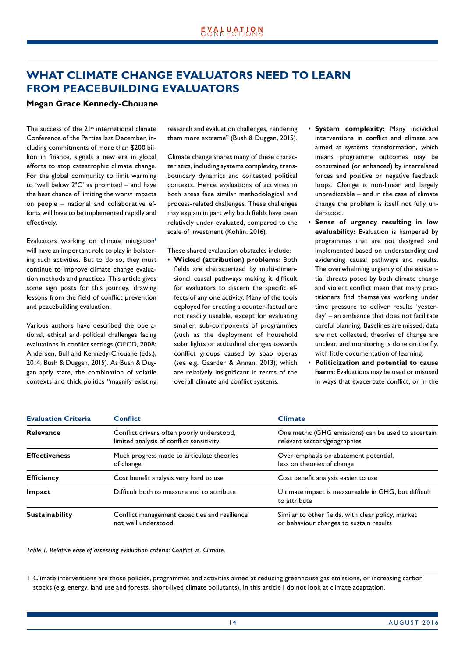## <span id="page-13-0"></span>**WHAT CLIMATE CHANGE EVALUATORS NEED TO LEARN FROM PEACEBUILDING EVALUATORS**

#### **Megan Grace Kennedy-Chouane**

The success of the  $21^{st}$  international climate Conference of the Parties last December, including commitments of more than \$200 billion in finance, signals a new era in global efforts to stop catastrophic climate change. For the global community to limit warming to 'well below 2˚C' as promised – and have the best chance of limiting the worst impacts on people – national and collaborative efforts will have to be implemented rapidly and effectively.

Evaluators working on climate mitigation<sup>1</sup> will have an important role to play in bolstering such activities. But to do so, they must continue to improve climate change evaluation methods and practices. This article gives some sign posts for this journey, drawing lessons from the field of conflict prevention and peacebuilding evaluation.

Various authors have described the operational, ethical and political challenges facing evaluations in conflict settings (OECD, 2008; Andersen, Bull and Kennedy-Chouane (eds.), 2014; Bush & Duggan, 2015). As Bush & Duggan aptly state, the combination of volatile contexts and thick politics "magnify existing research and evaluation challenges, rendering them more extreme" (Bush & Duggan, 2015).

Climate change shares many of these characteristics, including systems complexity, transboundary dynamics and contested political contexts. Hence evaluations of activities in both areas face similar methodological and process-related challenges. These challenges may explain in part why both fields have been relatively under-evaluated, compared to the scale of investment (Kohlin, 2016).

These shared evaluation obstacles include:

- **Wicked (attribution) problems:** Both fields are characterized by multi-dimensional causal pathways making it difficult for evaluators to discern the specific effects of any one activity. Many of the tools deployed for creating a counter-factual are not readily useable, except for evaluating smaller, sub-components of programmes (such as the deployment of household solar lights or attitudinal changes towards conflict groups caused by soap operas (see e.g. Gaarder & Annan, 2013), which are relatively insignificant in terms of the overall climate and conflict systems.
- **System complexity:** Many individual interventions in conflict and climate are aimed at systems transformation, which means programme outcomes may be constrained (or enhanced) by interrelated forces and positive or negative feedback loops. Change is non-linear and largely unpredictable – and in the case of climate change the problem is itself not fully understood.
- **Sense of urgency resulting in low evaluability:** Evaluation is hampered by programmes that are not designed and implemented based on understanding and evidencing causal pathways and results. The overwhelming urgency of the existential threats posed by both climate change and violent conflict mean that many practitioners find themselves working under time pressure to deliver results 'yesterday' – an ambiance that does not facilitate careful planning. Baselines are missed, data are not collected, theories of change are unclear, and monitoring is done on the fly, with little documentation of learning.
- **Politicization and potential to cause harm:** Evaluations may be used or misused in ways that exacerbate conflict, or in the

| <b>Evaluation Criteria</b> | <b>Conflict</b>                                                                       | <b>Climate</b>                                                                                |
|----------------------------|---------------------------------------------------------------------------------------|-----------------------------------------------------------------------------------------------|
| Relevance                  | Conflict drivers often poorly understood,<br>limited analysis of conflict sensitivity | One metric (GHG emissions) can be used to ascertain<br>relevant sectors/geographies           |
| <b>Effectiveness</b>       | Much progress made to articulate theories<br>of change                                | Over-emphasis on abatement potential,<br>less on theories of change                           |
| <b>Efficiency</b>          | Cost benefit analysis very hard to use                                                | Cost benefit analysis easier to use                                                           |
| Impact                     | Difficult both to measure and to attribute                                            | Ultimate impact is measureable in GHG, but difficult<br>to attribute                          |
| <b>Sustainability</b>      | Conflict management capacities and resilience<br>not well understood                  | Similar to other fields, with clear policy, market<br>or behaviour changes to sustain results |

*Table 1. Relative ease of assessing evaluation criteria: Conflict vs. Climate.*

1 Climate interventions are those policies, programmes and activities aimed at reducing greenhouse gas emissions, or increasing carbon stocks (e.g. energy, land use and forests, short-lived climate pollutants). In this article I do not look at climate adaptation.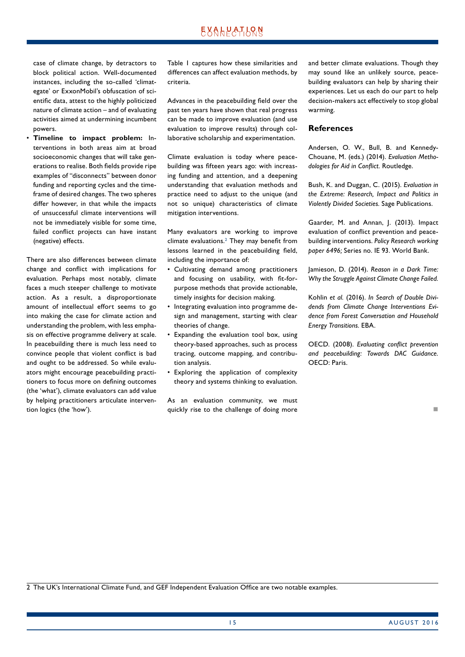case of climate change, by detractors to block political action. Well-documented instances, including the so-called 'climategate' or ExxonMobil's obfuscation of scientific data, attest to the highly politicized nature of climate action – and of evaluating activities aimed at undermining incumbent powers.

• **Timeline to impact problem:** Interventions in both areas aim at broad socioeconomic changes that will take generations to realise. Both fields provide ripe examples of "disconnects" between donor funding and reporting cycles and the timeframe of desired changes. The two spheres differ however, in that while the impacts of unsuccessful climate interventions will not be immediately visible for some time, failed conflict projects can have instant (negative) effects.

There are also differences between climate change and conflict with implications for evaluation. Perhaps most notably, climate faces a much steeper challenge to motivate action. As a result, a disproportionate amount of intellectual effort seems to go into making the case for climate action and understanding the problem, with less emphasis on effective programme delivery at scale. In peacebuilding there is much less need to convince people that violent conflict is bad and ought to be addressed. So while evaluators might encourage peacebuilding practitioners to focus more on defining outcomes (the 'what'), climate evaluators can add value by helping practitioners articulate intervention logics (the 'how').

Table 1 captures how these similarities and differences can affect evaluation methods, by criteria.

Advances in the peacebuilding field over the past ten years have shown that real progress can be made to improve evaluation (and use evaluation to improve results) through collaborative scholarship and experimentation.

Climate evaluation is today where peacebuilding was fifteen years ago: with increasing funding and attention, and a deepening understanding that evaluation methods and practice need to adjust to the unique (and not so unique) characteristics of climate mitigation interventions.

Many evaluators are working to improve climate evaluations.2 They may benefit from lessons learned in the peacebuilding field, including the importance of:

- Cultivating demand among practitioners and focusing on usability, with fit-forpurpose methods that provide actionable, timely insights for decision making.
- Integrating evaluation into programme design and management, starting with clear theories of change.
- Expanding the evaluation tool box, using theory-based approaches, such as process tracing, outcome mapping, and contribution analysis.
- Exploring the application of complexity theory and systems thinking to evaluation.

As an evaluation community, we must quickly rise to the challenge of doing more and better climate evaluations. Though they may sound like an unlikely source, peacebuilding evaluators can help by sharing their experiences. Let us each do our part to help decision-makers act effectively to stop global warming.

#### **References**

Andersen, O. W., Bull, B. and Kennedy-Chouane, M. (eds.) (2014). *Evaluation Methodologies for Aid in Conflict.* Routledge.

Bush, K. and Duggan, C. (2015). *Evaluation in the Extreme: Research, Impact and Politics in Violently Divided Societies.* Sage Publications.

Gaarder, M. and Annan, J. (2013). Impact evaluation of conflict prevention and peacebuilding interventions. *Policy Research working paper 6496;* Series no. IE 93. World Bank.

Jamieson, D. (2014). *Reason in a Dark Time: Why the Struggle Against Climate Change Failed.*

Kohlin *et al.* (2016). *In Search of Double Dividends from Climate Change Interventions Evidence from Forest Conversation and Household Energy Transitions.* EBA.

OECD. (2008). *Evaluating conflict prevention and peacebuilding: Towards DAC Guidance.* OECD: Paris.

2 The UK's International Climate Fund, and GEF Independent Evaluation Office are two notable examples.

n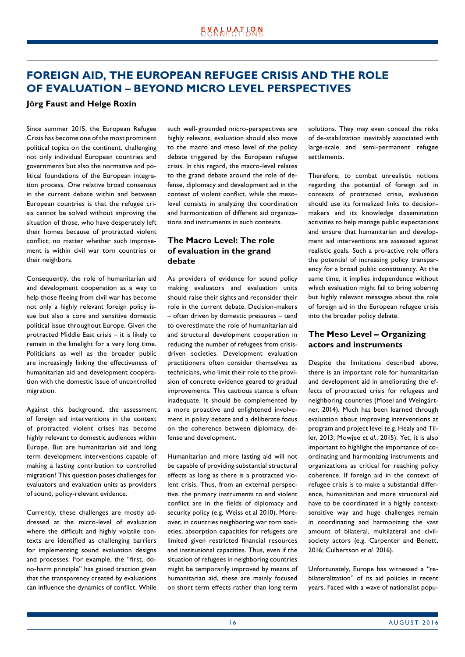## <span id="page-15-0"></span>**FOREIGN AID, THE EUROPEAN REFUGEE CRISIS AND THE ROLE OF EVALUATION – BEYOND MICRO LEVEL PERSPECTIVES**

#### **Jörg Faust and Helge Roxin**

Since summer 2015, the European Refugee Crisis has become one of the most prominent political topics on the continent, challenging not only individual European countries and governments but also the normative and political foundations of the European integration process. One relative broad consensus in the current debate within and between European countries is that the refugee crisis cannot be solved without improving the situation of those, who have desperately left their homes because of protracted violent conflict; no matter whether such improvement is within civil war torn countries or their neighbors.

Consequently, the role of humanitarian aid and development cooperation as a way to help those fleeing from civil war has become not only a highly relevant foreign policy issue but also a core and sensitive domestic political issue throughout Europe. Given the protracted Middle East crisis – it is likely to remain in the limelight for a very long time. Politicians as well as the broader public are increasingly linking the effectiveness of humanitarian aid and development cooperation with the domestic issue of uncontrolled migration.

Against this background, the assessment of foreign aid interventions in the context of protracted violent crises has become highly relevant to domestic audiences within Europe. But are humanitarian aid and long term development interventions capable of making a lasting contribution to controlled migration? This question poses challenges for evaluators and evaluation units as providers of sound, policy-relevant evidence.

Currently, these challenges are mostly addressed at the micro-level of evaluation where the difficult and highly volatile contexts are identified as challenging barriers for implementing sound evaluation designs and processes. For example, the "first, dono-harm principle" has gained traction given that the transparency created by evaluations can influence the dynamics of conflict. While such well- grounded micro-perspectives are highly relevant, evaluation should also move to the macro and meso level of the policy debate triggered by the European refugee crisis. In this regard, the macro-level relates to the grand debate around the role of defense, diplomacy and development aid in the context of violent conflict, while the mesolevel consists in analyzing the coordination and harmonization of different aid organizations and instruments in such contexts.

#### **The Macro Level: The role of evaluation in the grand debate**

As providers of evidence for sound policy making evaluators and evaluation units should raise their sights and reconsider their role in the current debate. Decision-makers – often driven by domestic pressures – tend to overestimate the role of humanitarian aid and structural development cooperation in reducing the number of refugees from crisisdriven societies. Development evaluation practitioners often consider themselves as technicians, who limit their role to the provision of concrete evidence geared to gradual improvements. This cautious stance is often inadequate. It should be complemented by a more proactive and enlightened involvement in policy debate and a deliberate focus on the coherence between diplomacy, defense and development.

Humanitarian and more lasting aid will not be capable of providing substantial structural effects as long as there is a protracted violent crisis. Thus, from an external perspective, the primary instruments to end violent conflict are in the fields of diplomacy and security policy (e.g. Weiss et al 2010). Moreover, in countries neighboring war torn societies, absorption capacities for refugees are limited given restricted financial resources and institutional capacities. Thus, even if the situation of refugees in neighboring countries might be temporarily improved by means of humanitarian aid, these are mainly focused on short term effects rather than long term

solutions. They may even conceal the risks of de-stabilization inevitably associated with large-scale and semi-permanent refugee settlements.

Therefore, to combat unrealistic notions regarding the potential of foreign aid in contexts of protracted crisis, evaluation should use its formalized links to decisionmakers and its knowledge dissemination activities to help manage public expectations and ensure that humanitarian and development aid interventions are assessed against realistic goals. Such a pro-active role offers the potential of increasing policy transparency for a broad public constituency. At the same time, it implies independence without which evaluation might fail to bring sobering but highly relevant messages about the role of foreign aid in the European refugee crisis into the broader policy debate.

#### **The Meso Level – Organizing actors and instruments**

Despite the limitations described above, there is an important role for humanitarian and development aid in ameliorating the effects of protracted crisis for refugees and neighboring countries (Mosel and Weingärtner, 2014). Much has been learned through evaluation about improving interventions at program and project level (e.g. Healy and Tiller, 2013; Mowjee *et al.*, 2015). Yet, it is also important to highlight the importance of coordinating and harmonizing instruments and organizations as critical for reaching policy coherence. If foreign aid in the context of refugee crisis is to make a substantial difference, humanitarian and more structural aid have to be coordinated in a highly contextsensitive way and huge challenges remain in coordinating and harmonizing the vast amount of bilateral, multilateral and civilsociety actors (e.g. Carpenter and Benett, 2016; Culbertson *et al.* 2016).

Unfortunately, Europe has witnessed a "rebilateralization" of its aid policies in recent years. Faced with a wave of nationalist popu-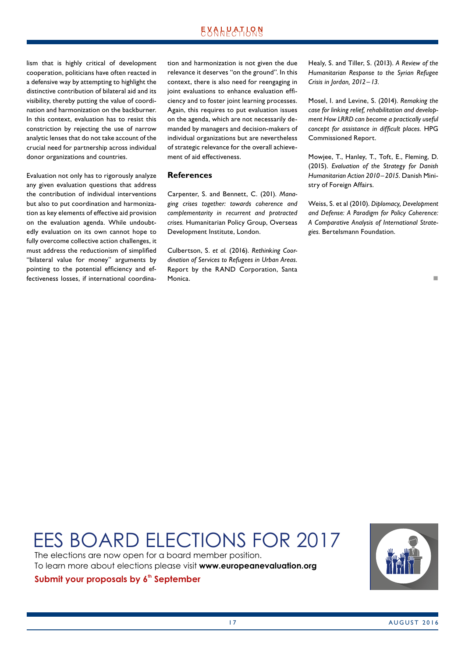lism that is highly critical of development cooperation, politicians have often reacted in a defensive way by attempting to highlight the distinctive contribution of bilateral aid and its visibility, thereby putting the value of coordination and harmonization on the backburner. In this context, evaluation has to resist this constriction by rejecting the use of narrow analytic lenses that do not take account of the crucial need for partnership across individual donor organizations and countries.

Evaluation not only has to rigorously analyze any given evaluation questions that address the contribution of individual interventions but also to put coordination and harmonization as key elements of effective aid provision on the evaluation agenda. While undoubtedly evaluation on its own cannot hope to fully overcome collective action challenges, it must address the reductionism of simplified "bilateral value for money" arguments by pointing to the potential efficiency and effectiveness losses, if international coordination and harmonization is not given the due relevance it deserves "on the ground". In this context, there is also need for reengaging in joint evaluations to enhance evaluation efficiency and to foster joint learning processes. Again, this requires to put evaluation issues on the agenda, which are not necessarily demanded by managers and decision-makers of individual organizations but are nevertheless of strategic relevance for the overall achievement of aid effectiveness.

#### **References**

Carpenter, S. and Bennett, C. (201). *Managing crises together: towards coherence and complementarity in recurrent and protracted crises.* Humanitarian Policy Group, Overseas Development Institute, London.

Culbertson, S. *et al.* (2016). *Rethinking Coordination of Services to Refugees in Urban Areas.* Report by the RAND Corporation, Santa Monica.

Healy, S. and Tiller, S. (2013). *A Review of the Humanitarian Response to the Syrian Refugee Crisis in Jordan, 2012–13.*

Mosel, I. and Levine, S. (2014). *Remaking the case for linking relief, rehabilitation and development How LRRD can become a practically useful concept for assistance in difficult places.* HPG Commissioned Report.

Mowjee, T., Hanley, T., Toft, E., Fleming, D. (2015). *Evaluation of the Strategy for Danish Humanitarian Action 2010–2015.* Danish Ministry of Foreign Affairs.

Weiss, S. et al (2010). *Diplomacy, Development and Defense: A Paradigm for Policy Coherence: A Comparative Analysis of International Strategies.* Bertelsmann Foundation.

#### n

# EES BOARD ELECTIONS FOR 2017

The elections are now open for a board member position. To learn more about elections please visit **www.europeanevaluation.org**

### **Submit your proposals by 6<sup>th</sup> September**

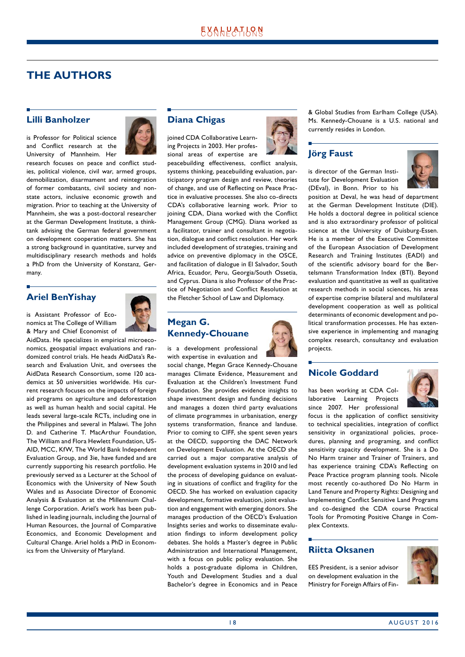## <span id="page-17-0"></span>**THE AUTHORS**

#### **Lilli Banholzer**

is Professor for Political science and Conflict research at the University of Mannheim. Her



research focuses on peace and conflict studies, political violence, civil war, armed groups, demobilization, disarmament and reintegration of former combatants, civil society and nonstate actors, inclusive economic growth and migration. Prior to teaching at the University of Mannheim, she was a post-doctoral researcher at the German Development Institute, a thinktank advising the German federal government on development cooperation matters. She has a strong background in quantitative, survey and multidisciplinary research methods and holds a PhD from the University of Konstanz, Germany.

## **Ariel BenYishay**

is Assistant Professor of Economics at The College of William & Mary and Chief Economist of

AidData. He specializes in empirical microeconomics, geospatial impact evaluations and randomized control trials. He heads AidData's Research and Evaluation Unit, and oversees the AidData Research Consortium, some 120 academics at 50 universities worldwide. His current research focuses on the impacts of foreign aid programs on agriculture and deforestation as well as human health and social capital. He leads several large-scale RCTs, including one in the Philippines and several in Malawi. The John D. and Catherine T. MacArthur Foundation, The William and Flora Hewlett Foundation, US-AID, MCC, KfW, The World Bank Independent Evaluation Group, and 3ie, have funded and are currently supporting his research portfolio. He previously served as a Lecturer at the School of Economics with the University of New South Wales and as Associate Director of Economic Analysis & Evaluation at the Millennium Challenge Corporation. Ariel's work has been published in leading journals, including the Journal of Human Resources, the Journal of Comparative Economics, and Economic Development and Cultural Change. Ariel holds a PhD in Economics from the University of Maryland.

#### **Diana Chigas**

joined CDA Collaborative Learning Projects in 2003. Her professional areas of expertise are



peacebuilding effectiveness, conflict analysis, systems thinking, peacebuilding evaluation, participatory program design and review, theories of change, and use of Reflecting on Peace Practice in evaluative processes. She also co-directs CDA's collaborative learning work. Prior to joining CDA, Diana worked with the Conflict Management Group (CMG). Diana worked as a facilitator, trainer and consultant in negotiation, dialogue and conflict resolution. Her work included development of strategies, training and advice on preventive diplomacy in the OSCE, and facilitation of dialogue in El Salvador, South Africa, Ecuador, Peru, Georgia/South Ossetia, and Cyprus. Diana is also Professor of the Practice of Negotiation and Conflict Resolution at the Fletcher School of Law and Diplomacy.

## **Megan G. Kennedy-Chouane**

is a development professional with expertise in evaluation and

social change, Megan Grace Kennedy-Chouane manages Climate Evidence, Measurement and Evaluation at the Children's Investment Fund Foundation. She provides evidence insights to shape investment design and funding decisions and manages a dozen third party evaluations of climate programmes in urbanisation, energy systems transformation, finance and landuse. Prior to coming to CIFF, she spent seven years at the OECD, supporting the DAC Network on Development Evaluation. At the OECD she carried out a major comparative analysis of development evaluation systems in 2010 and led the process of developing guidance on evaluating in situations of conflict and fragility for the OECD. She has worked on evaluation capacity development, formative evaluation, joint evaluation and engagement with emerging donors. She manages production of the OECD's Evaluation Insights series and works to disseminate evaluation findings to inform development policy debates. She holds a Master's degree in Public Administration and International Management, with a focus on public policy evaluation. She holds a post-graduate diploma in Children, Youth and Development Studies and a dual Bachelor's degree in Economics and in Peace & Global Studies from Earlham College (USA). Ms. Kennedy-Chouane is a U.S. national and currently resides in London.

## **Jörg Faust**

is director of the German Institute for Development Evaluation (DEval), in Bonn. Prior to his



position at Deval, he was head of department at the German Development Institute (DIE). He holds a doctoral degree in political science and is also extraordinary professor of political science at the University of Duisburg-Essen. He is a member of the Executive Committee of the European Association of Development Research and Training Institutes (EADI) and of the scientific advisory board for the Bertelsmann Transformation Index (BTI). Beyond evaluation and quantitative as well as qualitative research methods in social sciences, his areas of expertise comprise bilateral and multilateral development cooperation as well as political determinants of economic development and political transformation processes. He has extensive experience in implementing and managing complex research, consultancy and evaluation projects.

### **Nicole Goddard**

has been working at CDA Collaborative Learning Projects since 2007. Her professional



focus is the application of conflict sensitivity to technical specialities, integration of conflict sensitivity in organizational policies, procedures, planning and programing, and conflict sensitivity capacity development. She is a Do No Harm trainer and Trainer of Trainers, and has experience training CDA's Reflecting on Peace Practice program planning tools. Nicole most recently co-authored Do No Harm in Land Tenure and Property Rights: Designing and Implementing Conflict Sensitive Land Programs and co-designed the CDA course Practical Tools for Promoting Positive Change in Complex Contexts.

### **Riitta Oksanen**

EES President, is a senior advisor on development evaluation in the Ministry for Foreign Affairs of Fin-

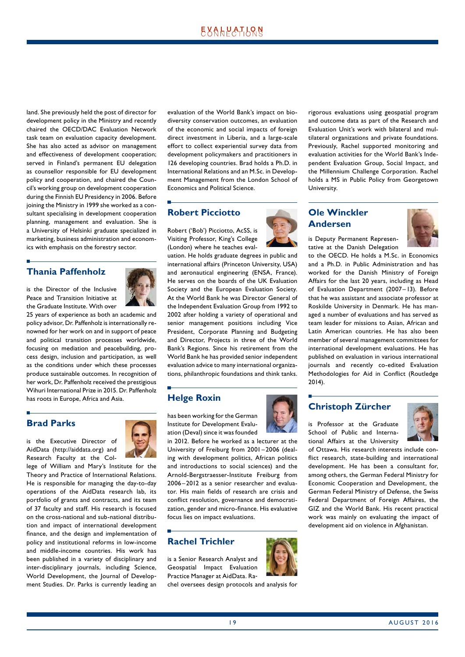land. She previously held the post of director for development policy in the Ministry and recently chaired the OECD/DAC Evaluation Network task team on evaluation capacity development. She has also acted as advisor on management and effectiveness of development cooperation; served in Finland's permanent EU delegation as counsellor responsible for EU development policy and cooperation, and chaired the Council's working group on development cooperation during the Finnish EU Presidency in 2006. Before joining the Ministry in 1999 she worked as a consultant specialising in development cooperation planning, management and evaluation. She is a University of Helsinki graduate specialized in marketing, business administration and economics with emphasis on the forestry sector.

#### **Thania Paffenholz**

is the Director of the Inclusive Peace and Transition Initiative at the Graduate Institute. With over



25 years of experience as both an academic and policy advisor, Dr. Paffenholz is internationally renowned for her work on and in support of peace and political transition processes worldwide, focusing on mediation and peacebuilding, process design, inclusion and participation, as well as the conditions under which these processes produce sustainable outcomes. In recognition of her work, Dr. Paffenholz received the prestigious Wihuri International Prize in 2015. Dr. Paffenholz has roots in Europe, Africa and Asia.

### **Brad Parks**

is the Executive Director of AidData (http://aiddata.org) and Research Faculty at the Col-



lege of William and Mary's Institute for the Theory and Practice of International Relations. He is responsible for managing the day-to-day operations of the AidData research lab, its portfolio of grants and contracts, and its team of 37 faculty and staff. His research is focused on the cross-national and sub-national distribution and impact of international development finance, and the design and implementation of policy and institutional reforms in low-income and middle-income countries. His work has been published in a variety of disciplinary and inter-disciplinary journals, including Science, World Development, the Journal of Development Studies. Dr. Parks is currently leading an evaluation of the World Bank's impact on biodiversity conservation outcomes, an evaluation of the economic and social impacts of foreign direct investment in Liberia, and a large-scale effort to collect experiential survey data from development policymakers and practitioners in 126 developing countries. Brad holds a Ph.D. in International Relations and an M.Sc. in Development Management from the London School of Economics and Political Science.

### **Robert Picciotto**

Robert ('Bob') Picciotto, AcSS, is Visiting Professor, King's College (London) where he teaches eval-

uation. He holds graduate degrees in public and international affairs (Princeton University, USA) and aeronautical engineering (ENSA, France). He serves on the boards of the UK Evaluation Society and the European Evaluation Society. At the World Bank he was Director General of the Independent Evaluation Group from 1992 to 2002 after holding a variety of operational and senior management positions including Vice President, Corporate Planning and Budgeting and Director, Projects in three of the World Bank's Regions. Since his retirement from the World Bank he has provided senior independent evaluation advice to many international organizations, philanthropic foundations and think tanks.

### **Helge Roxin**

has been working for the German Institute for Development Evaluation (Deval) since it was founded

in 2012. Before he worked as a lecturer at the University of Freiburg from 2001–2006 (dealing with development politics, African politics and introductions to social sciences) and the Arnold-Bergstraesser-Institute Freiburg from 2006–2012 as a senior researcher and evaluator. His main fields of research are crisis and conflict resolution, governance and democratization, gender and micro-finance. His evaluative focus lies on impact evaluations.

### **Rachel Trichler**

is a Senior Research Analyst and Geospatial Impact Evaluation Practice Manager at AidData. Ra-

chel oversees design protocols and analysis for



rigorous evaluations using geospatial program and outcome data as part of the Research and Evaluation Unit's work with bilateral and multilateral organizations and private foundations. Previously, Rachel supported monitoring and evaluation activities for the World Bank's Independent Evaluation Group, Social Impact, and the Millennium Challenge Corporation. Rachel holds a MS in Public Policy from Georgetown University.

#### **Ole Winckler Andersen**



is Deputy Permanent Representative at the Danish Delegation

to the OECD. He holds a M.Sc. in Economics and a Ph.D. in Public Administration and has worked for the Danish Ministry of Foreign Affairs for the last 20 years, including as Head of Evaluation Department (2007–13). Before that he was assistant and associate professor at Roskilde University in Denmark. He has managed a number of evaluations and has served as team leader for missions to Asian, African and Latin American countries. He has also been member of several management committees for international development evaluations. He has published on evaluation in various international journals and recently co-edited Evaluation Methodologies for Aid in Conflict (Routledge 2014).

### **Christoph Zürcher**

is Professor at the Graduate School of Public and Interna-



tional Affairs at the University of Ottawa. His research interests include conflict research, state-building and international development. He has been a consultant for,

among others, the German Federal Ministry for Economic Cooperation and Development, the German Federal Ministry of Defense, the Swiss Federal Department of Foreign Affaires, the GIZ and the World Bank. His recent practical work was mainly on evaluating the impact of development aid on violence in Afghanistan.